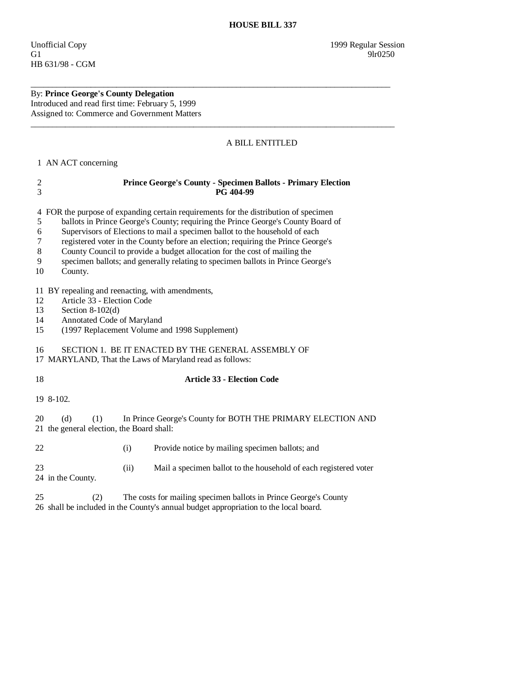## By: **Prince George's County Delegation**  Introduced and read first time: February 5, 1999 Assigned to: Commerce and Government Matters

## A BILL ENTITLED

1 AN ACT concerning

| $\boldsymbol{2}$<br>$\overline{3}$ | <b>Prince George's County - Specimen Ballots - Primary Election</b><br>PG 404-99                                                                                                                                                                                                                                                                                                                                                                                                                                       |
|------------------------------------|------------------------------------------------------------------------------------------------------------------------------------------------------------------------------------------------------------------------------------------------------------------------------------------------------------------------------------------------------------------------------------------------------------------------------------------------------------------------------------------------------------------------|
| 5<br>6<br>7<br>8<br>9<br>10        | 4 FOR the purpose of expanding certain requirements for the distribution of specimen<br>ballots in Prince George's County; requiring the Prince George's County Board of<br>Supervisors of Elections to mail a specimen ballot to the household of each<br>registered voter in the County before an election; requiring the Prince George's<br>County Council to provide a budget allocation for the cost of mailing the<br>specimen ballots; and generally relating to specimen ballots in Prince George's<br>County. |
| 12<br>13<br>14<br>15               | 11 BY repealing and reenacting, with amendments,<br>Article 33 - Election Code<br>Section $8-102(d)$<br>Annotated Code of Maryland<br>(1997 Replacement Volume and 1998 Supplement)                                                                                                                                                                                                                                                                                                                                    |
| 16                                 | SECTION 1. BE IT ENACTED BY THE GENERAL ASSEMBLY OF<br>17 MARYLAND, That the Laws of Maryland read as follows:                                                                                                                                                                                                                                                                                                                                                                                                         |
| 18                                 | <b>Article 33 - Election Code</b>                                                                                                                                                                                                                                                                                                                                                                                                                                                                                      |
|                                    | 19 8-102.                                                                                                                                                                                                                                                                                                                                                                                                                                                                                                              |
| 20                                 | In Prince George's County for BOTH THE PRIMARY ELECTION AND<br>(d)<br>(1)<br>21 the general election, the Board shall:                                                                                                                                                                                                                                                                                                                                                                                                 |
| 22                                 | Provide notice by mailing specimen ballots; and<br>(i)                                                                                                                                                                                                                                                                                                                                                                                                                                                                 |
| 23                                 | (ii)<br>Mail a specimen ballot to the household of each registered voter<br>24 in the County.                                                                                                                                                                                                                                                                                                                                                                                                                          |
| 25                                 | The costs for mailing specimen ballots in Prince George's County<br>(2)                                                                                                                                                                                                                                                                                                                                                                                                                                                |

\_\_\_\_\_\_\_\_\_\_\_\_\_\_\_\_\_\_\_\_\_\_\_\_\_\_\_\_\_\_\_\_\_\_\_\_\_\_\_\_\_\_\_\_\_\_\_\_\_\_\_\_\_\_\_\_\_\_\_\_\_\_\_\_\_\_\_\_\_\_\_\_\_\_\_\_\_\_\_\_\_\_\_\_

\_\_\_\_\_\_\_\_\_\_\_\_\_\_\_\_\_\_\_\_\_\_\_\_\_\_\_\_\_\_\_\_\_\_\_\_\_\_\_\_\_\_\_\_\_\_\_\_\_\_\_\_\_\_\_\_\_\_\_\_\_\_\_\_\_\_\_\_\_\_\_\_\_\_\_\_\_\_\_\_\_\_\_\_\_

26 shall be included in the County's annual budget appropriation to the local board.